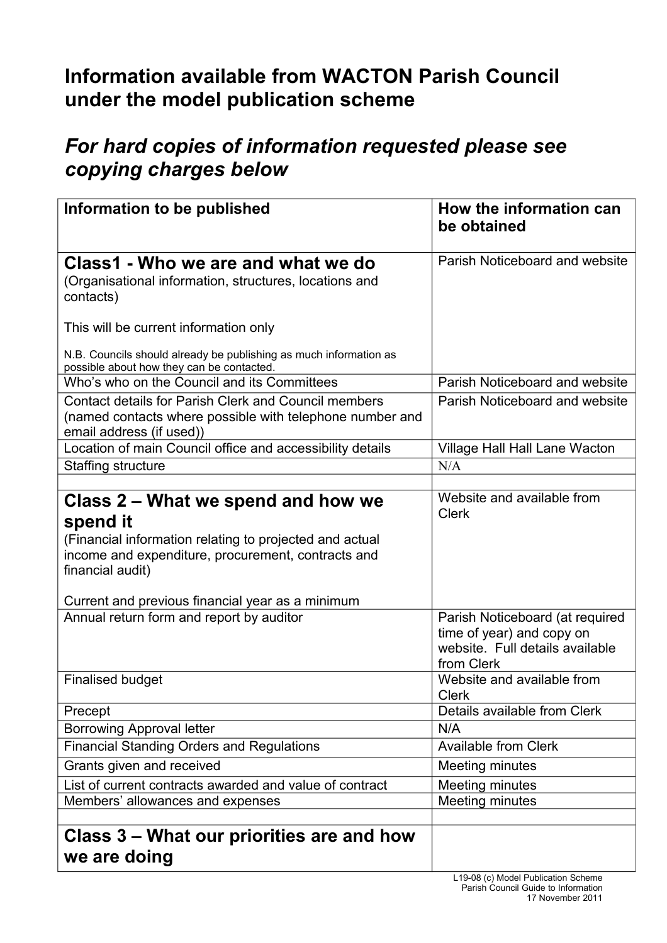## **Information available from WACTON Parish Council under the model publication scheme**

## *For hard copies of information requested please see copying charges below*

| Information to be published                                                                                                                                                                                                             | How the information can<br>be obtained                                                                        |
|-----------------------------------------------------------------------------------------------------------------------------------------------------------------------------------------------------------------------------------------|---------------------------------------------------------------------------------------------------------------|
| Class1 - Who we are and what we do<br>(Organisational information, structures, locations and<br>contacts)                                                                                                                               | Parish Noticeboard and website                                                                                |
| This will be current information only                                                                                                                                                                                                   |                                                                                                               |
| N.B. Councils should already be publishing as much information as<br>possible about how they can be contacted.                                                                                                                          |                                                                                                               |
| Who's who on the Council and its Committees                                                                                                                                                                                             | Parish Noticeboard and website                                                                                |
| Contact details for Parish Clerk and Council members<br>(named contacts where possible with telephone number and<br>email address (if used))                                                                                            | Parish Noticeboard and website                                                                                |
| Location of main Council office and accessibility details                                                                                                                                                                               | Village Hall Hall Lane Wacton                                                                                 |
| Staffing structure                                                                                                                                                                                                                      | N/A                                                                                                           |
|                                                                                                                                                                                                                                         |                                                                                                               |
| Class 2 – What we spend and how we<br>spend it<br>(Financial information relating to projected and actual<br>income and expenditure, procurement, contracts and<br>financial audit)<br>Current and previous financial year as a minimum | Website and available from<br><b>Clerk</b>                                                                    |
| Annual return form and report by auditor                                                                                                                                                                                                | Parish Noticeboard (at required<br>time of year) and copy on<br>website. Full details available<br>from Clerk |
| <b>Finalised budget</b>                                                                                                                                                                                                                 | Website and available from<br><b>Clerk</b>                                                                    |
| Precept                                                                                                                                                                                                                                 | Details available from Clerk                                                                                  |
| <b>Borrowing Approval letter</b>                                                                                                                                                                                                        | N/A                                                                                                           |
| <b>Financial Standing Orders and Regulations</b>                                                                                                                                                                                        | <b>Available from Clerk</b>                                                                                   |
| Grants given and received                                                                                                                                                                                                               | <b>Meeting minutes</b>                                                                                        |
| List of current contracts awarded and value of contract                                                                                                                                                                                 | Meeting minutes                                                                                               |
| Members' allowances and expenses                                                                                                                                                                                                        | <b>Meeting minutes</b>                                                                                        |
|                                                                                                                                                                                                                                         |                                                                                                               |
| Class 3 – What our priorities are and how<br>we are doing                                                                                                                                                                               |                                                                                                               |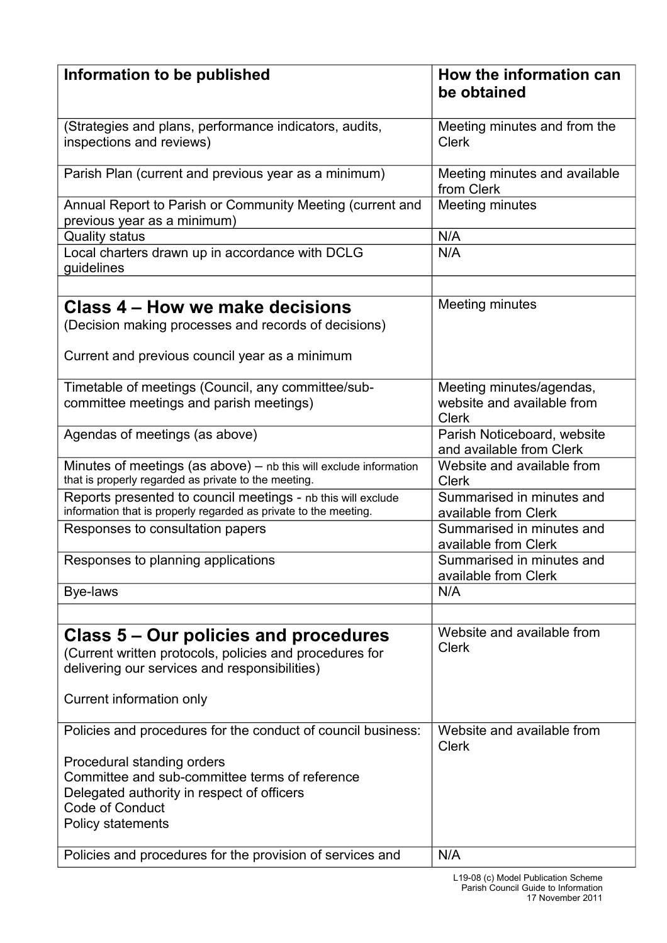| Information to be published                                                                                                                                                                                                        | How the information can<br>be obtained                                 |
|------------------------------------------------------------------------------------------------------------------------------------------------------------------------------------------------------------------------------------|------------------------------------------------------------------------|
|                                                                                                                                                                                                                                    |                                                                        |
| (Strategies and plans, performance indicators, audits,<br>inspections and reviews)                                                                                                                                                 | Meeting minutes and from the<br><b>Clerk</b>                           |
| Parish Plan (current and previous year as a minimum)                                                                                                                                                                               | Meeting minutes and available<br>from Clerk                            |
| Annual Report to Parish or Community Meeting (current and<br>previous year as a minimum)                                                                                                                                           | Meeting minutes                                                        |
| <b>Quality status</b>                                                                                                                                                                                                              | N/A                                                                    |
| Local charters drawn up in accordance with DCLG<br>guidelines                                                                                                                                                                      | N/A                                                                    |
|                                                                                                                                                                                                                                    |                                                                        |
| Class 4 – How we make decisions<br>(Decision making processes and records of decisions)<br>Current and previous council year as a minimum                                                                                          | Meeting minutes                                                        |
| Timetable of meetings (Council, any committee/sub-<br>committee meetings and parish meetings)                                                                                                                                      | Meeting minutes/agendas,<br>website and available from<br><b>Clerk</b> |
| Agendas of meetings (as above)                                                                                                                                                                                                     | Parish Noticeboard, website<br>and available from Clerk                |
| Minutes of meetings (as above) $-$ nb this will exclude information<br>that is properly regarded as private to the meeting.                                                                                                        | Website and available from<br><b>Clerk</b>                             |
| Reports presented to council meetings - nb this will exclude<br>information that is properly regarded as private to the meeting.                                                                                                   | Summarised in minutes and<br>available from Clerk                      |
| Responses to consultation papers                                                                                                                                                                                                   | Summarised in minutes and<br>available from Clerk                      |
| Responses to planning applications                                                                                                                                                                                                 | Summarised in minutes and<br>available from Clerk                      |
| Bye-laws                                                                                                                                                                                                                           | N/A                                                                    |
|                                                                                                                                                                                                                                    |                                                                        |
| Class 5 – Our policies and procedures<br>(Current written protocols, policies and procedures for<br>delivering our services and responsibilities)                                                                                  | Website and available from<br><b>Clerk</b>                             |
| Current information only                                                                                                                                                                                                           |                                                                        |
| Policies and procedures for the conduct of council business:<br>Procedural standing orders<br>Committee and sub-committee terms of reference<br>Delegated authority in respect of officers<br>Code of Conduct<br>Policy statements | Website and available from<br><b>Clerk</b>                             |
| Policies and procedures for the provision of services and                                                                                                                                                                          | N/A                                                                    |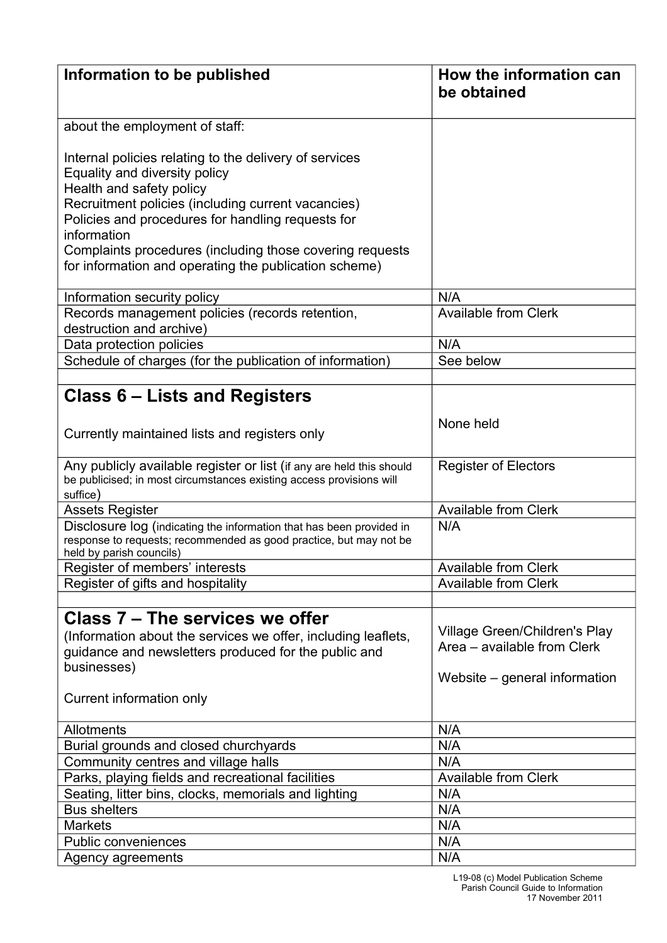| Information to be published                                                                                                                                             | How the information can<br>be obtained                       |
|-------------------------------------------------------------------------------------------------------------------------------------------------------------------------|--------------------------------------------------------------|
|                                                                                                                                                                         |                                                              |
| about the employment of staff:                                                                                                                                          |                                                              |
| Internal policies relating to the delivery of services<br>Equality and diversity policy<br>Health and safety policy                                                     |                                                              |
| Recruitment policies (including current vacancies)<br>Policies and procedures for handling requests for<br>information                                                  |                                                              |
| Complaints procedures (including those covering requests<br>for information and operating the publication scheme)                                                       |                                                              |
| Information security policy                                                                                                                                             | N/A                                                          |
| Records management policies (records retention,<br>destruction and archive)                                                                                             | <b>Available from Clerk</b>                                  |
| Data protection policies                                                                                                                                                | N/A                                                          |
| Schedule of charges (for the publication of information)                                                                                                                | See below                                                    |
|                                                                                                                                                                         |                                                              |
| Class 6 – Lists and Registers                                                                                                                                           |                                                              |
| Currently maintained lists and registers only                                                                                                                           | None held                                                    |
| Any publicly available register or list (if any are held this should<br>be publicised; in most circumstances existing access provisions will<br>suffice)                | <b>Register of Electors</b>                                  |
| Assets Register                                                                                                                                                         | <b>Available from Clerk</b>                                  |
| Disclosure log (indicating the information that has been provided in<br>response to requests; recommended as good practice, but may not be<br>held by parish councils)  | N/A                                                          |
| Register of members' interests                                                                                                                                          | <b>Available from Clerk</b>                                  |
| Register of gifts and hospitality                                                                                                                                       | <b>Available from Clerk</b>                                  |
|                                                                                                                                                                         |                                                              |
| Class 7 – The services we offer<br>(Information about the services we offer, including leaflets,<br>guidance and newsletters produced for the public and<br>businesses) | Village Green/Children's Play<br>Area – available from Clerk |
| Current information only                                                                                                                                                | Website – general information                                |
| <b>Allotments</b>                                                                                                                                                       | N/A                                                          |
| Burial grounds and closed churchyards                                                                                                                                   | N/A                                                          |
| Community centres and village halls                                                                                                                                     | N/A                                                          |
| Parks, playing fields and recreational facilities                                                                                                                       | <b>Available from Clerk</b>                                  |
| Seating, litter bins, clocks, memorials and lighting                                                                                                                    | N/A                                                          |
| <b>Bus shelters</b>                                                                                                                                                     | N/A                                                          |
| <b>Markets</b>                                                                                                                                                          | N/A                                                          |
| <b>Public conveniences</b>                                                                                                                                              | N/A                                                          |
| Agency agreements                                                                                                                                                       | N/A                                                          |